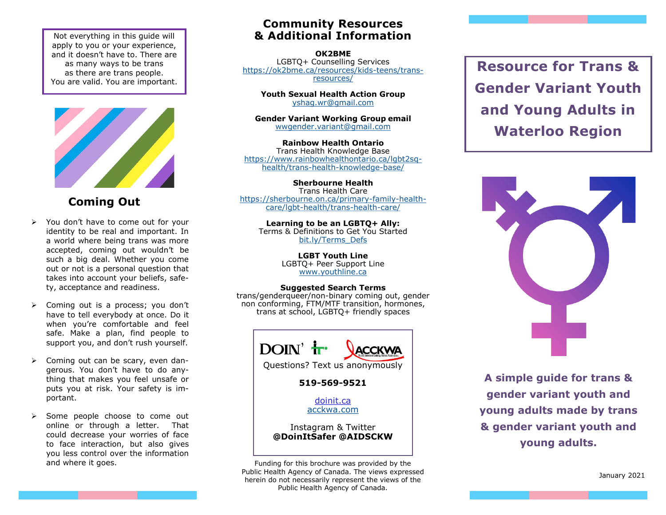Not everything in this guide will apply to you or your experience, and it doesn't have to. There are as many ways to be trans as there are trans people. You are valid. You are important.



**Coming Out**

- $\triangleright$  You don't have to come out for your identity to be real and important. In a world where being trans was more accepted, coming out wouldn't be such a big deal. Whether you come out or not is a personal question that takes into account your beliefs, safety, acceptance and readiness.
- Coming out is a process; you don't have to tell everybody at once. Do it when you're comfortable and feel safe. Make a plan, find people to support you, and don't rush yourself.
- $\triangleright$  Coming out can be scary, even dangerous. You don't have to do anything that makes you feel unsafe or puts you at risk. Your safety is important.
- $\triangleright$  Some people choose to come out online or through a letter. That could decrease your worries of face to face interaction, but also gives you less control over the information and where it goes.

#### **Community Resources & Additional Information**

**OK2BME**  LGBTQ+ Counselling Services [https://ok2bme.ca/resources/kids](https://ok2bme.ca/resources/kids-teens/trans-resources/)-teens/trans[resources/](https://ok2bme.ca/resources/kids-teens/trans-resources/)

**Youth Sexual Health Action Group** [yshag.wr@gmail.com](mailto:yshag.wr@gmail.com)

**Gender Variant Working Group email** [wwgender.variant@gmail.com](mailto:wwgender.variant@gmail.com)

**Rainbow Health Ontario**  Trans Health Knowledge Base [https://www.rainbowhealthontario.ca/lgbt2sq](https://www.rainbowhealthontario.ca/lgbt2sq-health/trans-health-knowledge-base/)[health/trans](https://www.rainbowhealthontario.ca/lgbt2sq-health/trans-health-knowledge-base/)-health-knowledge-base/

**Sherbourne Health** Trans Health Care [https://sherbourne.on.ca/primary](https://sherbourne.on.ca/primary-family-health-care/lgbt-health/trans-health-care/)-family-healthcare/lgbt-[health/trans](https://sherbourne.on.ca/primary-family-health-care/lgbt-health/trans-health-care/)-health-care/

**Learning to be an LGBTQ+ Ally:**  Terms & Definitions to Get You Started [bit.ly/Terms\\_Defs](http://www.acckwa.com/wp-content/uploads/2013/09/Learning-to-be-an-Ally_Terms-and-Def_-Dec-2016-1.pdf)

> **LGBT Youth Line** LGBTQ+ Peer Support Line [www.youthline.ca](http://www.youthline.ca)

#### **Suggested Search Terms**

trans/genderqueer/non-binary coming out, gender non conforming, FTM/MTF transition, hormones, trans at school, LGBTQ+ friendly spaces



**519-569-9521**

[doinit.ca](http://www.doinit.ca) [acckwa.com](https://acckwa.com)

Instagram & Twitter **@DoinItSafer @AIDSCKW**

Funding for this brochure was provided by the Public Health Agency of Canada. The views expressed herein do not necessarily represent the views of the Public Health Agency of Canada.

**Resource for Trans & Gender Variant Youth and Young Adults in Waterloo Region**



**A simple guide for trans & gender variant youth and young adults made by trans & gender variant youth and young adults.**